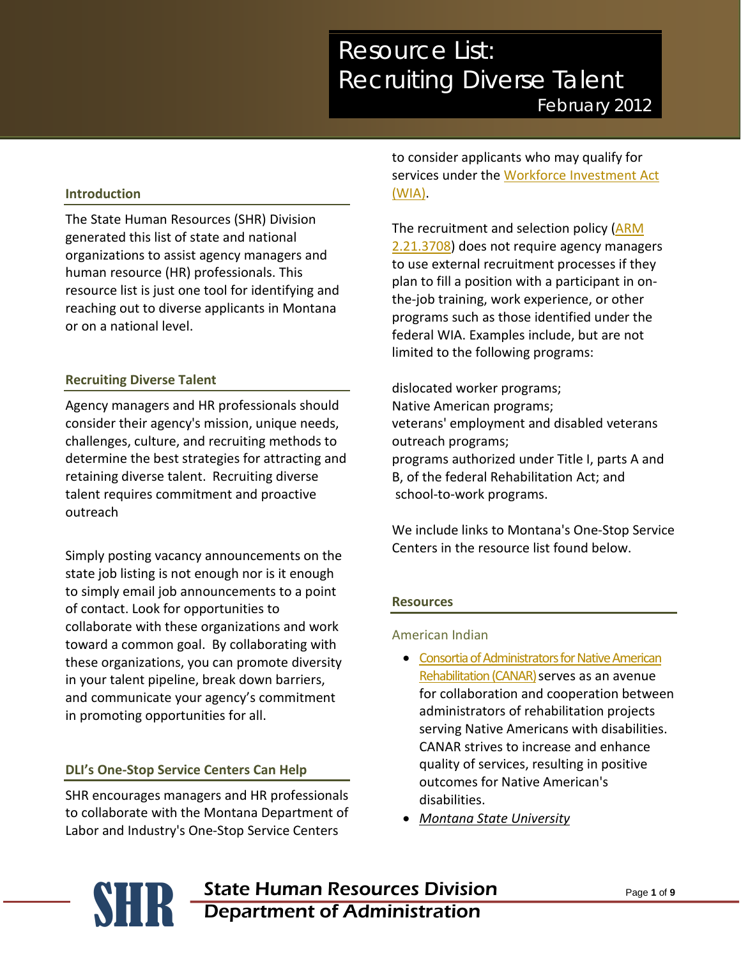# *Resource List: Recruiting Diverse Talent February 2012*

### **Introduction**

The State Human Resources (SHR) Division generated this list of state and national organizations to assist agency managers and human resource (HR) professionals. This resource list is just one tool for identifying and reaching out to diverse applicants in Montana or on a national level.

#### **Recruiting Diverse Talent**

Agency managers and HR professionals should consider their agency's mission, unique needs, challenges, culture, and recruiting methods to determine the best strategies for attracting and retaining diverse talent. Recruiting diverse talent requires commitment and proactive outreach

Simply posting vacancy announcements on the state job listing is not enough nor is it enough to simply email job announcements to a point of contact. Look for opportunities to collaborate with these organizations and work toward a common goal. By collaborating with these organizations, you can promote diversity in your talent pipeline, break down barriers, and communicate your agency's commitment in promoting opportunities for all.

#### **DLI's One-Stop Service Centers Can Help**

SHR encourages managers and HR professionals to collaborate with the Montana Department of Labor and Industry's One-Stop Service Centers

to consider applicants who may qualify for services under the [Workforce Investment Act](http://wsd.dli.mt.gov/wia/)  [\(WIA\).](http://wsd.dli.mt.gov/wia/)

The recruitment and selection policy [\(ARM](http://www.mtrules.org/gateway/ruleno.asp?RN=2%2E21%2E3708)  [2.21.3708\)](http://www.mtrules.org/gateway/ruleno.asp?RN=2%2E21%2E3708) does not require agency managers to use external recruitment processes if they plan to fill a position with a participant in onthe-job training, work experience, or other programs such as those identified under the federal WIA. Examples include, but are not limited to the following programs:

dislocated worker programs; Native American programs; veterans' employment and disabled veterans outreach programs; programs authorized under Title I, parts A and B, of the federal Rehabilitation Act; and school-to-work programs.

We include links to Montana's One-Stop Service Centers in the resource list found below.

#### **Resources**

#### American Indian

- [Consortia of Administrators for Native American](http://www.canar.org/)  Rehabilitation (CANAR) serves as an avenue for collaboration and cooperation between administrators of rehabilitation projects serving Native Americans with disabilities. CANAR strives to increase and enhance quality of services, resulting in positive outcomes for Native American's disabilities.
- *Montana State University*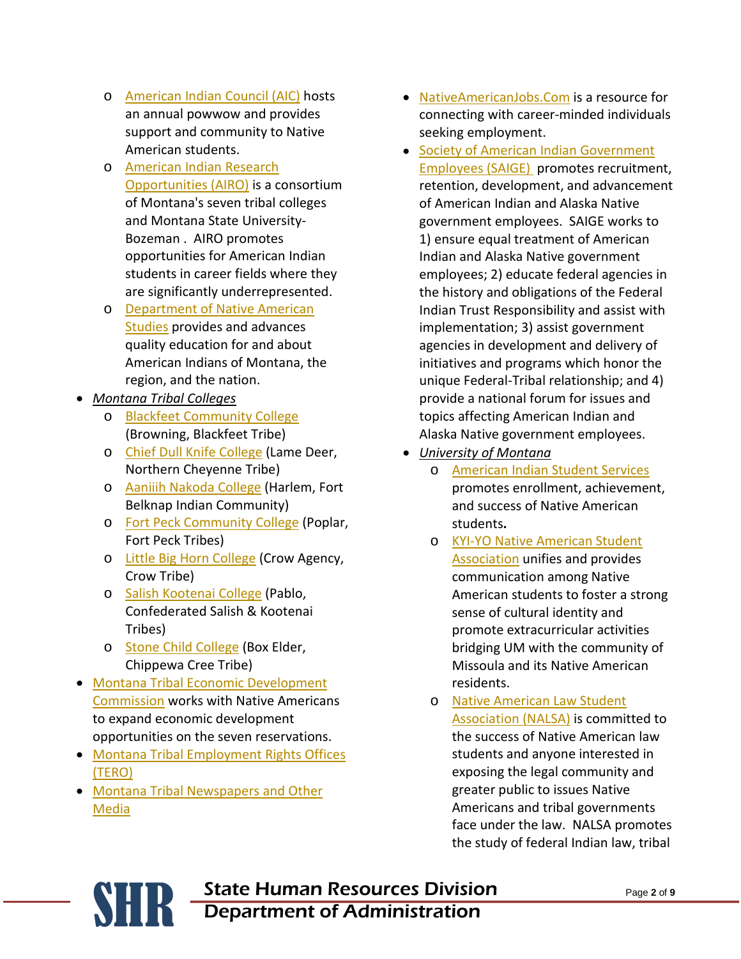- o [American Indian Council \(AIC\)](http://www.montana.edu/wwwnas/club/index.html) hosts an annual powwow and provides support and community to Native American students.
- o [American Indian Research](http://www.ancollege.edu/)  [Opportunities \(AIRO\)](http://www.ancollege.edu/) is a consortium of Montana's seven tribal colleges and Montana State University-Bozeman . AIRO promotes opportunities for American Indian students in career fields where they are significantly underrepresented.
- o [Department of Native American](http://www.montana.edu/wwwnas/)  [Studies](http://www.montana.edu/wwwnas/) provides and advances quality education for and about American Indians of Montana, the region, and the nation.
- *Montana Tribal Colleges*
	- o [Blackfeet Community College](http://www.bfcc.org/) (Browning, Blackfeet Tribe)
	- o [Chief Dull Knife College](http://www.cdkc.edu/) (Lame Deer, Northern Cheyenne Tribe)
	- o [Aaniiih Nakoda College](http://www.fbcc.edu/) (Harlem, Fort Belknap Indian Community)
	- o [Fort Peck Community College](http://www.fpcc.edu/) (Poplar, Fort Peck Tribes)
	- o [Little Big Horn College](http://www.lbhc.edu/) (Crow Agency, Crow Tribe)
	- o [Salish Kootenai College](http://www.skc.edu/) (Pablo, Confederated Salish & Kootenai Tribes)
	- o [Stone Child College](http://www.stonechild.edu/) (Box Elder, Chippewa Cree Tribe)
- [Montana Tribal Economic Development](http://tribal.mt.gov/default.mcpx)  [Commission](http://tribal.mt.gov/default.mcpx) works with Native Americans to expand economic development opportunities on the seven reservations.
- [Montana Tribal Employment Rights Offices](http://tribalnations.mt.gov/docs/TERO.pdf)  [\(TERO\)](http://tribalnations.mt.gov/docs/TERO.pdf)
- [Montana Tribal Newspapers and Other](http://tribalnations.mt.gov/docs/Reservation_Media.pdf)  [Media](http://tribalnations.mt.gov/docs/Reservation_Media.pdf)
- [NativeAmericanJobs.Com](http://www.nativeamericanjobs.com/) is a resource for connecting with career-minded individuals seeking employment.
- [Society of American Indian Government](http://www.saige.org/)  [Employees \(SAIGE\)](http://www.saige.org/) promotes recruitment, retention, development, and advancement of American Indian and Alaska Native government employees. SAIGE works to 1) ensure equal treatment of American Indian and Alaska Native government employees; 2) educate federal agencies in the history and obligations of the Federal Indian Trust Responsibility and assist with implementation; 3) assist government agencies in development and delivery of initiatives and programs which honor the unique Federal-Tribal relationship; and 4) provide a national forum for issues and topics affecting American Indian and Alaska Native government employees.
- *University of Montana*
	- o [American Indian Student Services](http://life.umt.edu/aiss/) promotes enrollment, achievement, and success of Native American students**.**
	- o [KYI-YO Native American Student](http://www.umt.edu/kyiyo/)  **[Association](http://www.umt.edu/kyiyo/)** unifies and provides communication among Native American students to foster a strong sense of cultural identity and promote extracurricular activities bridging UM with the community of Missoula and its Native American residents.
	- o [Native American Law Student](http://www.umt.edu/nalsa/)  [Association \(NALSA\)](http://www.umt.edu/nalsa/) is committed to the success of Native American law students and anyone interested in exposing the legal community and greater public to issues Native Americans and tribal governments face under the law. NALSA promotes the study of federal Indian law, tribal

**SHR** State Human Resources Division<br>Department of Administration Department of Administration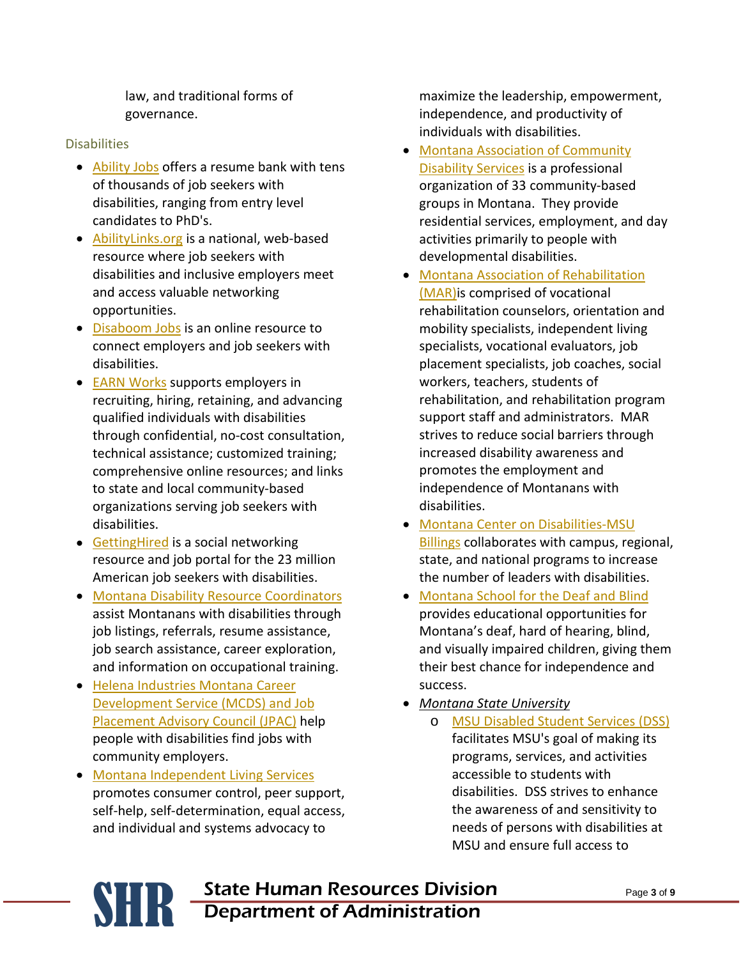law, and traditional forms of governance.

## **Disabilities**

- [Ability Jobs](http://www.jobaccess.org/) offers a resume bank with tens of thousands of job seekers with disabilities, ranging from entry level candidates to PhD's.
- [AbilityLinks.org](http://www.abilitylinks.org/home.aspx?&PageID=506) is a national, web-based resource where job seekers with disabilities and inclusive employers meet and access valuable networking opportunities.
- [Disaboom Jobs](http://www.jobsonline.com/browse/homepage_what.html?KEYWORD=Disaboom%20job&tp_campaign_id=921&traffic_id=432593985) is an online resource to connect employers and job seekers with disabilities.
- [EARN Works](http://earnworks.com/) supports employers in recruiting, hiring, retaining, and advancing qualified individuals with disabilities through confidential, no-cost consultation, technical assistance; customized training; comprehensive online resources; and links to state and local community-based organizations serving job seekers with disabilities.
- [GettingHired](http://www.gettinghired.com/) is a social networking resource and job portal for the 23 million American job seekers with disabilities.
- [Montana Disability Resource Coordinators](http://wsd.dli.mt.gov/service/navigator.asp) assist Montanans with disabilities through job listings, referrals, resume assistance, job search assistance, career exploration, and information on occupational training.
- [Helena Industries Montana Career](http://www.helenaindustries.org/)  [Development Service \(MCDS\) and Job](http://www.helenaindustries.org/)  [Placement Advisory Council \(JPAC\)](http://www.helenaindustries.org/) help people with disabilities find jobs with community employers.
- [Montana Independent Living Services](http://www.dphhs.mt.gov/detd/independentliving/index.shtml) promotes consumer control, peer support, self-help, self-determination, equal access, and individual and systems advocacy to

maximize the leadership, empowerment, independence, and productivity of individuals with disabilities.

- [Montana Association of Community](http://72.18.155.29/index.php)  [Disability Services](http://72.18.155.29/index.php) is a professional organization of 33 community-based groups in Montana. They provide residential services, employment, and day activities primarily to people with developmental disabilities.
- [Montana Association of Rehabilitation](http://www.mtmar.org/)  [\(MAR\)i](http://www.mtmar.org/)s comprised of vocational rehabilitation counselors, orientation and mobility specialists, independent living specialists, vocational evaluators, job placement specialists, job coaches, social workers, teachers, students of rehabilitation, and rehabilitation program support staff and administrators. MAR strives to reduce social barriers through increased disability awareness and promotes the employment and independence of Montanans with disabilities.
- [Montana Center on Disabilities-MSU](http://www.msubillings.edu/mtcd)  [Billings](http://www.msubillings.edu/mtcd) collaborates with campus, regional, state, and national programs to increase the number of leaders with disabilities.
- [Montana School for the Deaf and Blind](http://msdb.mt.gov/index.html) provides educational opportunities for Montana's deaf, hard of hearing, blind, and visually impaired children, giving them their best chance for independence and success.
- *Montana State University*
	- o [MSU Disabled Student Services \(DSS\)](http://www.montana.edu/wwwres/disability/index.shtml) facilitates MSU's goal of making its programs, services, and activities accessible to students with disabilities. DSS strives to enhance the awareness of and sensitivity to needs of persons with disabilities at MSU and ensure full access to
- **SHR** State Human Resources Division<br>Department of Administration Department of Administration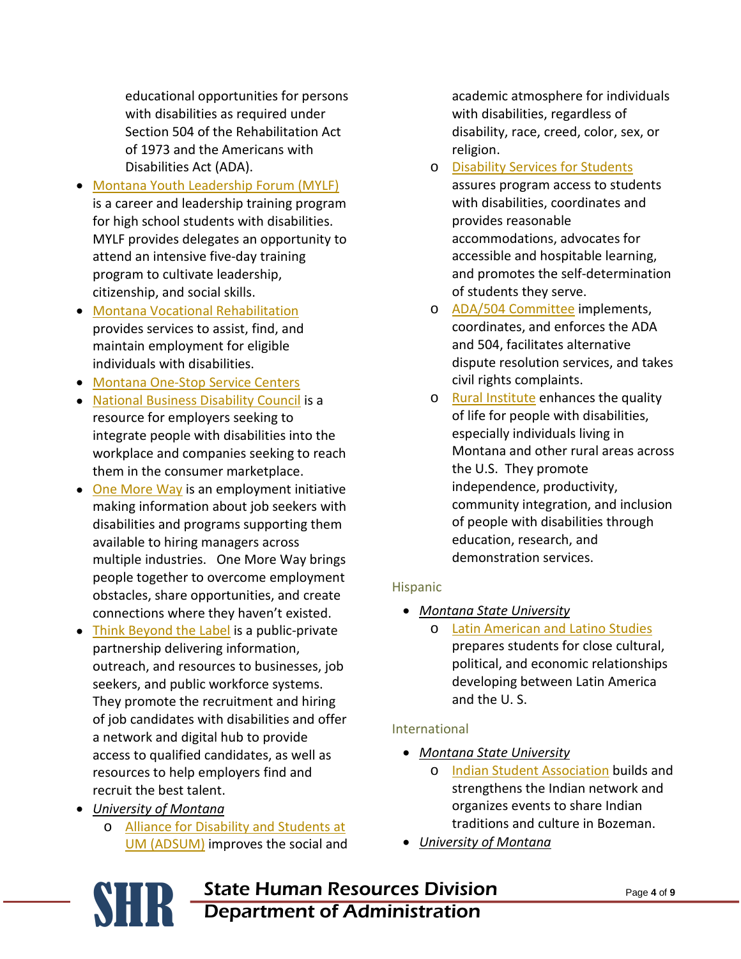educational opportunities for persons with disabilities as required under Section 504 of the Rehabilitation Act of 1973 and the Americans with Disabilities Act (ADA).

- [Montana Youth Leadership Forum \(MYLF\)](http://www.montanaylf.org/) is a career and leadership training program for high school students with disabilities. MYLF provides delegates an opportunity to attend an intensive five-day training program to cultivate leadership, citizenship, and social skills.
- [Montana Vocational Rehabilitation](http://www.dphhs.mt.gov/vocrehab/vrs/index.shtml) provides services to assist, find, and maintain employment for eligible individuals with disabilities.
- [Montana One-Stop Service Centers](http://www.swib.mt.gov/OneStops.asp)
- [National Business Disability Council](http://www.nbdc.com/index.aspx) is a resource for employers seeking to integrate people with disabilities into the workplace and companies seeking to reach them in the consumer marketplace.
- [One More Way](http://www.onemoreway.org/) is an employment initiative making information about job seekers with disabilities and programs supporting them available to hiring managers across multiple industries. One More Way brings people together to overcome employment obstacles, share opportunities, and create connections where they haven't existed.
- [Think Beyond the Label](http://www.thinkbeyondthelabel.com/default.aspx) is a public-private partnership delivering information, outreach, and resources to businesses, job seekers, and public workforce systems. They promote the recruitment and hiring of job candidates with disabilities and offer a network and digital hub to provide access to qualified candidates, as well as resources to help employers find and recruit the best talent.
- *University of Montana*
	- o [Alliance for Disability and Students at](http://www.umt.edu/adsum/)  [UM \(ADSUM\)](http://www.umt.edu/adsum/) improves the social and

academic atmosphere for individuals with disabilities, regardless of disability, race, creed, color, sex, or religion.

- o [Disability Services for Students](http://life.umt.edu/dss/) assures program access to students with disabilities, coordinates and provides reasonable accommodations, advocates for accessible and hospitable learning, and promotes the self-determination of students they serve.
- o [ADA/504 Committee](http://www.lanecc.edu/disability/ada-and-504-compliance-committee) implements, coordinates, and enforces the ADA and 504, facilitates alternative dispute resolution services, and takes civil rights complaints.
- o [Rural Institute](http://ruralinstitute.umt.edu/) enhances the quality of life for people with disabilities, especially individuals living in Montana and other rural areas across the U.S. They promote independence, productivity, community integration, and inclusion of people with disabilities through education, research, and demonstration services.

# **Hispanic**

- *Montana State University*
	- o [Latin American and Latino Studies](http://www.montana.edu/lals/) prepares students for close cultural, political, and economic relationships developing between Latin America and the U. S.

# International

- *Montana State University*
	- o [Indian Student Association](http://www.montana.edu/isa/) builds and strengthens the Indian network and organizes events to share Indian traditions and culture in Bozeman.
- *University of Montana*
- **SHR** State Human Resources Division<br>Department of Administration Department of Administration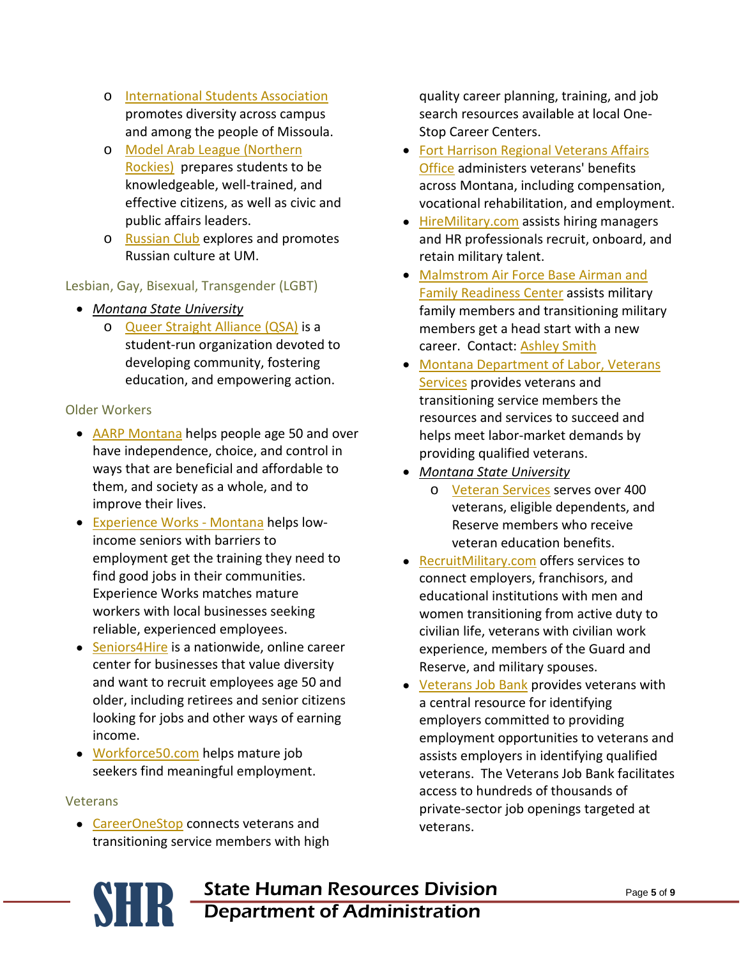- o [International Students Association](http://www.umt.edu/isa/) promotes diversity across campus and among the people of Missoula.
- o [Model Arab League \(Northern](http://www.ncusar.org/modelarableague/uregionals/unorthern.html)  [Rockies\)](http://www.ncusar.org/modelarableague/uregionals/unorthern.html) prepares students to be knowledgeable, well-trained, and effective citizens, as well as civic and public affairs leaders.
- o [Russian Club](http://www.cas.umt.edu/mcll/russian/activities.cfm) explores and promotes Russian culture at UM.

# Lesbian, Gay, Bisexual, Transgender (LGBT)

- *Montana State University*
	- o [Queer Straight Alliance \(QSA\)](http://www.montana.edu/QSA/) is a student-run organization devoted to developing community, fostering education, and empowering action.

# Older Workers

- [AARP Montana](http://www.aarp.org/states/mt/) helps people age 50 and over have independence, choice, and control in ways that are beneficial and affordable to them, and society as a whole, and to improve their lives.
- [Experience Works -](http://www.experienceworks.org/site/PageServer?pagename=State_Montana_Home) Montana helps lowincome seniors with barriers to employment get the training they need to find good jobs in their communities. Experience Works matches mature workers with local businesses seeking reliable, experienced employees.
- [Seniors4Hire](http://www.seniors4hire.org/) is a nationwide, online career center for businesses that value diversity and want to recruit employees age 50 and older, including retirees and senior citizens looking for jobs and other ways of earning income.
- [Workforce50.com](http://www.workforce50.com/Content/Employer_Information_Workforce50.cfm) helps mature job seekers find meaningful employment.

# Veterans

• [CareerOneStop](http://www.careeronestop.org/militarytransition/hiringAveteran.aspx) connects veterans and transitioning service members with high quality career planning, training, and job search resources available at local One-Stop Career Centers.

- [Fort Harrison Regional Veterans Affairs](http://www2.va.gov/directory/guide/facility.asp?ID=321)  [Office](http://www2.va.gov/directory/guide/facility.asp?ID=321) administers veterans' benefits across Montana, including compensation, vocational rehabilitation, and employment.
- [HireMilitary.com](http://www.hiremilitary.com/2011/05/the-two-most-common-recruitment-marketing-mistakes-companies-make-when-trying-to-attract-military-veterans-to-their-company-website/) assists hiring managers and HR professionals recruit, onboard, and retain military talent.
- [Malmstrom Air Force Base Airman and](http://341fss.com/dsp5)  [Family Readiness Center](http://341fss.com/dsp5) assists military family members and transitioning military members get a head start with a new career. Contact: [Ashley Smith](mailto:ashley.smith.36@malmstrom.af.mil)
- [Montana Department of Labor,](http://wsd.dli.mt.gov/veterans/vet1.asp) Veterans [Services](http://wsd.dli.mt.gov/veterans/vet1.asp) provides veterans and transitioning service members the resources and services to succeed and helps meet labor-market demands by providing qualified veterans.
- *Montana State University*
	- o [Veteran Services](http://www.montana.edu/wwwres/veteran/index.shtml) serves over 400 veterans, eligible dependents, and Reserve members who receive veteran education benefits.
- [RecruitMilitary.com](http://recruitmilitary.com/) offers services to connect employers, franchisors, and educational institutions with men and women transitioning from active duty to civilian life, veterans with civilian work experience, members of the Guard and Reserve, and military spouses.
- [Veterans Job Bank](https://www.nationalresourcedirectory.gov/home/veterans_job_bank) provides veterans with a central resource for identifying employers committed to providing employment opportunities to veterans and assists employers in identifying qualified veterans. The Veterans Job Bank facilitates access to hundreds of thousands of private-sector job openings targeted at veterans.
- **SHR** State Human Resources Division<br>Department of Administration Department of Administration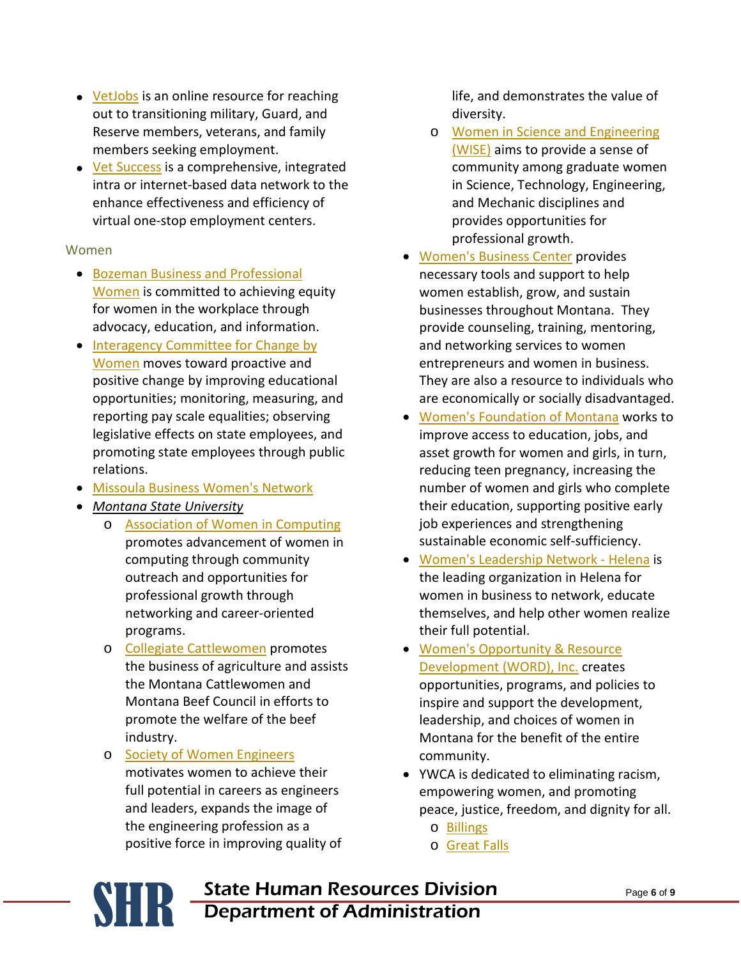- [VetJobs](http://www.vetjobs.com/) is an online resource for reaching out to transitioning military, Guard, and Reserve members, veterans, and family members seeking employment.
- [Vet Success](http://vetsuccess.gov/registration) is a comprehensive, integrated intra or internet-based data network to the enhance effectiveness and efficiency of virtual one-stop employment centers.

# Women

- [Bozeman Business and Professional](http://www.bozemanbpw.org/)  [Women](http://www.bozemanbpw.org/) is committed to achieving equity for women in the workplace through advocacy, education, and information.
- Interagency Committee for Change by [Women](http://iccw.mt.gov/who.shtml) moves toward proactive and positive change by improving educational opportunities; monitoring, measuring, and reporting pay scale equalities; observing legislative effects on state employees, and promoting state employees through public relations.
- [Missoula Business Women's Network](http://www.discovermbn.com/content.aspx?page_id=22&club_id=431640&module_id=6160)
- *Montana State University*
	- o [Association of Women in Computing](http://www.cs.montana.edu/%7Eawc/) promotes advancement of women in computing through community outreach and opportunities for professional growth through networking and career-oriented programs.
	- o [Collegiate Cattlewomen](http://ag.montana.edu/students/student-groups.htm) promotes the business of agriculture and assists the Montana Cattlewomen and Montana Beef Council in efforts to promote the welfare of the beef industry.
	- o [Society of Women Engineers](http://www.coe.montana.edu/swe/) motivates women to achieve their full potential in careers as engineers and leaders, expands the image of the engineering profession as a positive force in improving quality of

life, and demonstrates the value of diversity.

- o [Women in Science and Engineering](http://www.engr.washington.edu/curr_students/studentprogs/wise.html/)  [\(WISE\)](http://www.engr.washington.edu/curr_students/studentprogs/wise.html/) aims to provide a sense of community among graduate women in Science, Technology, Engineering, and Mechanic disciplines and provides opportunities for professional growth.
- [Women's Business Center](http://www.montanawbc.org/) provides necessary tools and support to help women establish, grow, and sustain businesses throughout Montana. They provide counseling, training, mentoring, and networking services to women entrepreneurs and women in business. They are also a resource to individuals who are economically or socially disadvantaged.
- [Women's Foundation of Montana](http://www.wfmontana.org/) works to improve access to education, jobs, and asset growth for women and girls, in turn, reducing teen pregnancy, increasing the number of women and girls who complete their education, supporting positive early job experiences and strengthening sustainable economic self-sufficiency.
- [Women's Leadership Network -](http://wlnhelena.org/) Helena is the leading organization in Helena for women in business to network, educate themselves, and help other women realize their full potential.
- Women's [Opportunity & Resource](http://www.wordinc.org/index.php)  [Development \(WORD\), Inc.](http://www.wordinc.org/index.php) creates opportunities, programs, and policies to inspire and support the development, leadership, and choices of women in Montana for the benefit of the entire community.
- YWCA is dedicated to eliminating racism, empowering women, and promoting peace, justice, freedom, and dignity for all.
	- o [Billings](http://www.ywcabillings.org/)
	- o [Great Falls](http://www.ywcagreatfalls.org/)
- **SHR** State Human Resources Division<br>Department of Administration Department of Administration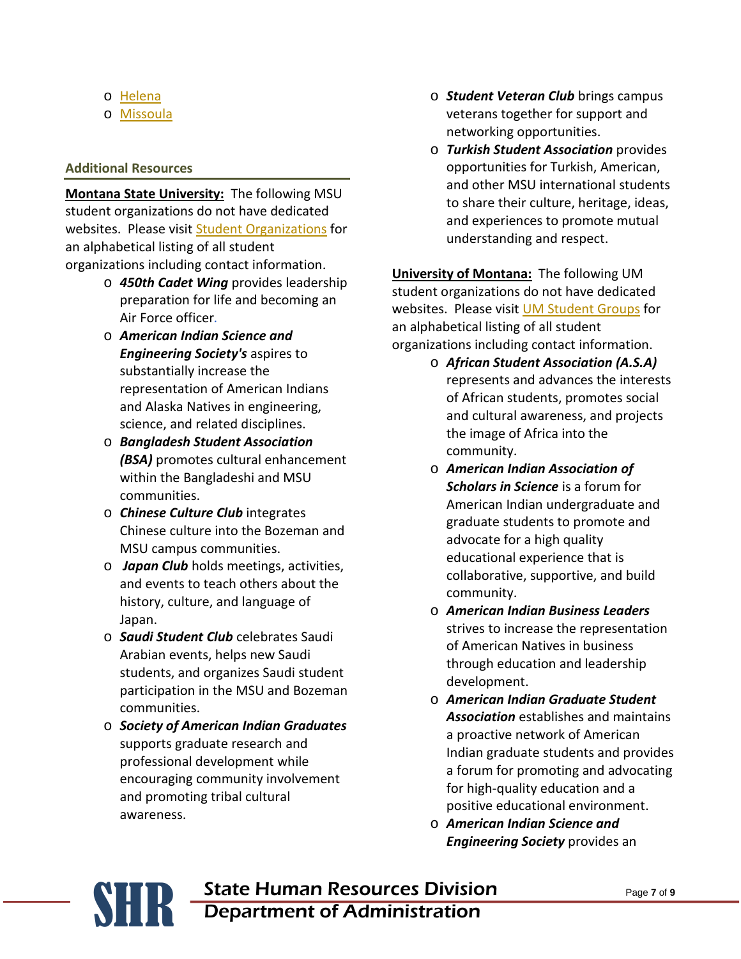- o [Helena](http://www.ywcahelena.org/)
- o [Missoula](http://www.ywcaofmissoula.org/)

## **Additional Resources**

**Montana State University:** The following MSU student organizations do not have dedicated websites. Please visit [Student Organizations](http://www.montana.edu/studentactivities/clubs.php) for an alphabetical listing of all student organizations including contact information.

- o *450th Cadet Wing* provides leadership preparation for life and becoming an Air Force officer*.*
- o *American Indian Science and Engineering Society's* aspires to substantially increase the representation of American Indians and Alaska Natives in engineering, science, and related disciplines.
- o *Bangladesh Student Association (BSA)* promotes cultural enhancement within the Bangladeshi and MSU communities.
- o *Chinese Culture Club* integrates Chinese culture into the Bozeman and MSU campus communities.
- o *Japan Club* holds meetings, activities, and events to teach others about the history, culture, and language of Japan.
- o *Saudi Student Club* celebrates Saudi Arabian events, helps new Saudi students, and organizes Saudi student participation in the MSU and Bozeman communities.
- o *Society of American Indian Graduates* supports graduate research and professional development while encouraging community involvement and promoting tribal cultural awareness.
- o *Student Veteran Club* brings campus veterans together for support and networking opportunities.
- o *Turkish Student Association* provides opportunities for Turkish, American, and other MSU international students to share their culture, heritage, ideas, and experiences to promote mutual understanding and respect.

**University of Montana:** The following UM student organizations do not have dedicated websites. Please visit [UM Student Groups](http://life.umt.edu/asum/student_groups/student_group_listing_grouped.php) for an alphabetical listing of all student organizations including contact information.

- o *African Student Association (A.S.A)* represents and advances the interests of African students, promotes social and cultural awareness, and projects the image of Africa into the community.
- o *American Indian Association of Scholars in Science* is a forum for American Indian undergraduate and graduate students to promote and advocate for a high quality educational experience that is collaborative, supportive, and build community.
- o *American Indian Business Leaders* strives to increase the representation of American Natives in business through education and leadership development.
- o *American Indian Graduate Student Association* establishes and maintains a proactive network of American Indian graduate students and provides a forum for promoting and advocating for high-quality education and a positive educational environment.
- o *American Indian Science and Engineering Society* provides an

**SHR** State Human Resources Division<br>Department of Administration Department of Administration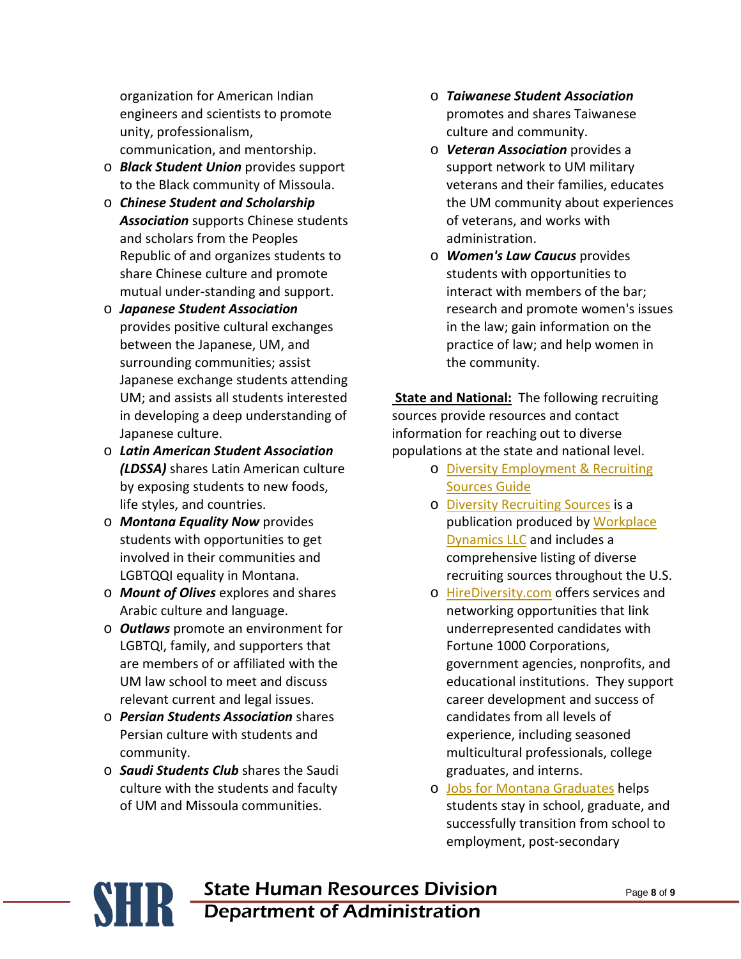organization for American Indian engineers and scientists to promote unity, professionalism, communication, and mentorship.

- o *Black Student Union* provides support to the Black community of Missoula.
- o *Chinese Student and Scholarship Association* supports Chinese students and scholars from the Peoples Republic of and organizes students to share Chinese culture and promote mutual under-standing and support.
- o *Japanese Student Association* provides positive cultural exchanges between the Japanese, UM, and surrounding communities; assist Japanese exchange students attending UM; and assists all students interested in developing a deep understanding of Japanese culture.
- o *Latin American Student Association (LDSSA)* shares Latin American culture by exposing students to new foods, life styles, and countries.
- o *Montana Equality Now* provides students with opportunities to get involved in their communities and LGBTQQI equality in Montana.
- o *Mount of Olives* explores and shares Arabic culture and language.
- o *Outlaws* promote an environment for LGBTQI, family, and supporters that are members of or affiliated with the UM law school to meet and discuss relevant current and legal issues.
- o *Persian Students Association* shares Persian culture with students and community.
- o *Saudi Students Club* shares the Saudi culture with the students and faculty of UM and Missoula communities.
- o *Taiwanese Student Association* promotes and shares Taiwanese culture and community.
- o *Veteran Association* provides a support network to UM military veterans and their families, educates the UM community about experiences of veterans, and works with administration.
- o *Women's Law Caucus* provides students with opportunities to interact with members of the bar; research and promote women's issues in the law; gain information on the practice of law; and help women in the community.

**State and National:** The following recruiting sources provide resources and contact information for reaching out to diverse populations at the state and national level.

- o [Diversity Employment & Recruiting](http://humancapital.doe.gov/resources/recsour.pdf)  [Sources Guide](http://humancapital.doe.gov/resources/recsour.pdf)
- o [Diversity Recruiting Sources](http://www.google.com/url?sa=t&rct=j&q=diversity%20recruiting%20sources&source=web&cd=1&ved=0CDgQFjAA&url=http%3A%2F%2Fwww.workplace-dynamics.com%2FDiversity_Recruiting_Sources.pdf&ei=95PGToL9LcSG2gWylvH1Dw&usg=AFQjCNGaUQqJWDAwToqijCybH4Kk2mO6wQ) is a publication produced by Workplace [Dynamics LLC](http://www.workplace-dynamics.com/) and includes a comprehensive listing of diverse recruiting sources throughout the U.S.
- o [HireDiversity.com](http://www.hirediversity.com/) offers services and networking opportunities that link underrepresented candidates with Fortune 1000 Corporations, government agencies, nonprofits, and educational institutions. They support career development and success of candidates from all levels of experience, including seasoned multicultural professionals, college graduates, and interns.
- o [Jobs for Montana Graduates](http://wsd.dli.mt.gov/jmg/jmg.asp) helps students stay in school, graduate, and successfully transition from school to employment, post-secondary